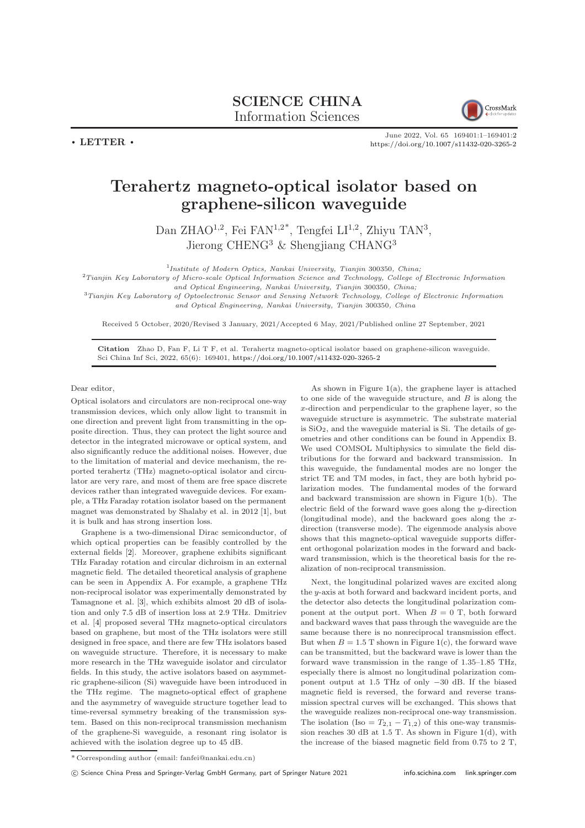## SCIENCE CHINA Information Sciences



June 2022, Vol. 65 169401:1–169401[:2](#page-1-0) <https://doi.org/10.1007/s11432-020-3265-2>

## Terahertz magneto-optical isolator based on graphene-silicon waveguide

Dan ZHAO<sup>1,2</sup>, Fei FAN<sup>1,2\*</sup>, Tengfei LI<sup>1,2</sup>, Zhiyu TAN<sup>3</sup>, Jierong CHENG<sup>3</sup> & Shengjiang CHANG<sup>3</sup>

<sup>1</sup>Institute of Modern Optics, Nankai University, Tianjin 300350, China;

 ${}^{2}$ Tianjin Key Laboratory of Micro-scale Optical Information Science and Technology, College of Electronic Information and Optical Engineering, Nankai University, Tianjin 300350, China;

<sup>3</sup>Tianjin Key Laboratory of Optoelectronic Sensor and Sensing Network Technology, College of Electronic Information and Optical Engineering, Nankai University, Tianjin 300350, China

Received 5 October, 2020/Revised 3 January, 2021/Accepted 6 May, 2021/Published online 27 September, 2021

Citation Zhao D, Fan F, Li T F, et al. Terahertz magneto-optical isolator based on graphene-silicon waveguide. Sci China Inf Sci, 2022, 65(6): 169401, <https://doi.org/10.1007/s11432-020-3265-2>

Dear editor,

 $\cdot$  LETTER  $\cdot$ 

Optical isolators and circulators are non-reciprocal one-way transmission devices, which only allow light to transmit in one direction and prevent light from transmitting in the opposite direction. Thus, they can protect the light source and detector in the integrated microwave or optical system, and also significantly reduce the additional noises. However, due to the limitation of material and device mechanism, the reported terahertz (THz) magneto-optical isolator and circulator are very rare, and most of them are free space discrete devices rather than integrated waveguide devices. For example, a THz Faraday rotation isolator based on the permanent magnet was demonstrated by Shalaby et al. in 2012 [\[1\]](#page-1-1), but it is bulk and has strong insertion loss.

Graphene is a two-dimensional Dirac semiconductor, of which optical properties can be feasibly controlled by the external fields [\[2\]](#page-1-2). Moreover, graphene exhibits significant THz Faraday rotation and circular dichroism in an external magnetic field. The detailed theoretical analysis of graphene can be seen in Appendix A. For example, a graphene THz non-reciprocal isolator was experimentally demonstrated by Tamagnone et al. [\[3\]](#page-1-3), which exhibits almost 20 dB of isolation and only 7.5 dB of insertion loss at 2.9 THz. Dmitriev et al. [\[4\]](#page-1-4) proposed several THz magneto-optical circulators based on graphene, but most of the THz isolators were still designed in free space, and there are few THz isolators based on waveguide structure. Therefore, it is necessary to make more research in the THz waveguide isolator and circulator fields. In this study, the active isolators based on asymmetric graphene-silicon (Si) waveguide have been introduced in the THz regime. The magneto-optical effect of graphene and the asymmetry of waveguide structure together lead to time-reversal symmetry breaking of the transmission system. Based on this non-reciprocal transmission mechanism of the graphene-Si waveguide, a resonant ring isolator is achieved with the isolation degree up to 45 dB.

As shown in Figure [1\(](#page-1-5)a), the graphene layer is attached to one side of the waveguide structure, and  $B$  is along the x-direction and perpendicular to the graphene layer, so the waveguide structure is asymmetric. The substrate material is SiO2, and the waveguide material is Si. The details of geometries and other conditions can be found in Appendix B. We used COMSOL Multiphysics to simulate the field distributions for the forward and backward transmission. In this waveguide, the fundamental modes are no longer the strict TE and TM modes, in fact, they are both hybrid polarization modes. The fundamental modes of the forward and backward transmission are shown in Figure [1\(](#page-1-5)b). The electric field of the forward wave goes along the y-direction (longitudinal mode), and the backward goes along the xdirection (transverse mode). The eigenmode analysis above shows that this magneto-optical waveguide supports different orthogonal polarization modes in the forward and backward transmission, which is the theoretical basis for the realization of non-reciprocal transmission.

Next, the longitudinal polarized waves are excited along the y-axis at both forward and backward incident ports, and the detector also detects the longitudinal polarization component at the output port. When  $B = 0$  T, both forward and backward waves that pass through the waveguide are the same because there is no nonreciprocal transmission effect. But when  $B = 1.5$  T shown in Figure [1\(](#page-1-5)c), the forward wave can be transmitted, but the backward wave is lower than the forward wave transmission in the range of 1.35–1.85 THz, especially there is almost no longitudinal polarization component output at 1.5 THz of only −30 dB. If the biased magnetic field is reversed, the forward and reverse transmission spectral curves will be exchanged. This shows that the waveguide realizes non-reciprocal one-way transmission. The isolation (Iso =  $T_{2,1} - T_{1,2}$ ) of this one-way transmission reaches 30 dB at  $1.5$  T. As shown in Figure [1\(](#page-1-5)d), with the increase of the biased magnetic field from 0.75 to 2 T,

<sup>\*</sup> Corresponding author (email: fanfei@nankai.edu.cn)

c Science China Press and Springer-Verlag GmbH Germany, part of Springer Nature 2021 <info.scichina.com><link.springer.com>